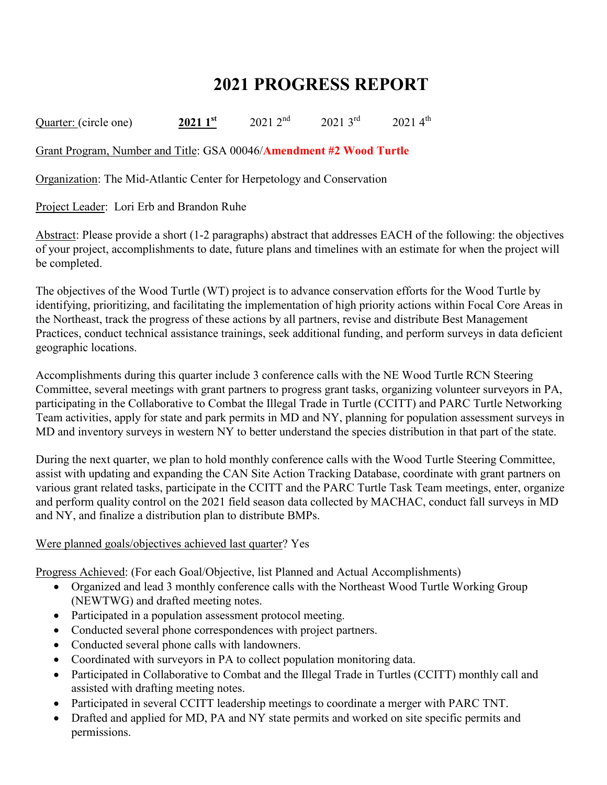## **2021 PROGRESS REPORT**

Quarter: (circle one) **2021 1**<sup>st</sup> 2021 2<sup>nd</sup> 2021 3<sup>rd</sup> 2021 4<sup>th</sup>

Grant Program, Number and Title: GSA 00046/**Amendment #2 Wood Turtle**

Organization: The Mid-Atlantic Center for Herpetology and Conservation

Project Leader: Lori Erb and Brandon Ruhe

Abstract: Please provide a short (1-2 paragraphs) abstract that addresses EACH of the following: the objectives of your project, accomplishments to date, future plans and timelines with an estimate for when the project will be completed.

The objectives of the Wood Turtle (WT) project is to advance conservation efforts for the Wood Turtle by identifying, prioritizing, and facilitating the implementation of high priority actions within Focal Core Areas in the Northeast, track the progress of these actions by all partners, revise and distribute Best Management Practices, conduct technical assistance trainings, seek additional funding, and perform surveys in data deficient geographic locations.

Accomplishments during this quarter include 3 conference calls with the NE Wood Turtle RCN Steering Committee, several meetings with grant partners to progress grant tasks, organizing volunteer surveyors in PA, participating in the Collaborative to Combat the Illegal Trade in Turtle (CCITT) and PARC Turtle Networking Team activities, apply for state and park permits in MD and NY, planning for population assessment surveys in MD and inventory surveys in western NY to better understand the species distribution in that part of the state.

During the next quarter, we plan to hold monthly conference calls with the Wood Turtle Steering Committee, assist with updating and expanding the CAN Site Action Tracking Database, coordinate with grant partners on various grant related tasks, participate in the CCITT and the PARC Turtle Task Team meetings, enter, organize and perform quality control on the 2021 field season data collected by MACHAC, conduct fall surveys in MD and NY, and finalize a distribution plan to distribute BMPs.

## Were planned goals/objectives achieved last quarter? Yes

Progress Achieved: (For each Goal/Objective, list Planned and Actual Accomplishments)

- Organized and lead 3 monthly conference calls with the Northeast Wood Turtle Working Group (NEWTWG) and drafted meeting notes.
- Participated in a population assessment protocol meeting.
- Conducted several phone correspondences with project partners.
- Conducted several phone calls with landowners.
- Coordinated with surveyors in PA to collect population monitoring data.
- Participated in Collaborative to Combat and the Illegal Trade in Turtles (CCITT) monthly call and assisted with drafting meeting notes.
- Participated in several CCITT leadership meetings to coordinate a merger with PARC TNT.
- Drafted and applied for MD, PA and NY state permits and worked on site specific permits and permissions.